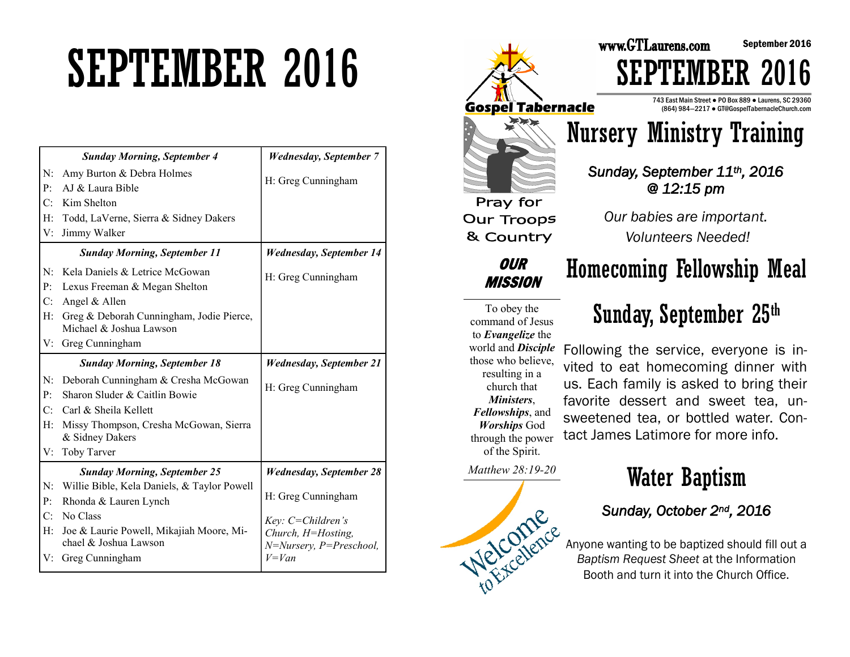# SEPTEMBER 2016

|    | <b>Sunday Morning, September 4</b>          | <b>Wednesday, September 7</b>  |
|----|---------------------------------------------|--------------------------------|
| N: | Amy Burton & Debra Holmes                   | H: Greg Cunningham             |
| P: | AJ & Laura Bible                            |                                |
| C: | Kim Shelton                                 |                                |
| H: | Todd, LaVerne, Sierra & Sidney Dakers       |                                |
| V: | Jimmy Walker                                |                                |
|    | <b>Sunday Morning, September 11</b>         | <b>Wednesday, September 14</b> |
| N: | Kela Daniels & Letrice McGowan              | H: Greg Cunningham             |
| P: | Lexus Freeman & Megan Shelton               |                                |
| C: | Angel & Allen                               |                                |
| H: | Greg & Deborah Cunningham, Jodie Pierce,    |                                |
|    | Michael & Joshua Lawson                     |                                |
| V: | Greg Cunningham                             |                                |
|    | <b>Sunday Morning, September 18</b>         | <b>Wednesday, September 21</b> |
| N: | Deborah Cunningham & Cresha McGowan         |                                |
| P: | Sharon Sluder & Caitlin Bowie               | H: Greg Cunningham             |
| C: | Carl & Sheila Kellett                       |                                |
| H: | Missy Thompson, Cresha McGowan, Sierra      |                                |
|    | & Sidney Dakers                             |                                |
| V: | Toby Tarver                                 |                                |
|    | <b>Sunday Morning, September 25</b>         | <b>Wednesday, September 28</b> |
| N: | Willie Bible, Kela Daniels, & Taylor Powell |                                |
| P: | Rhonda & Lauren Lynch                       | H: Greg Cunningham             |
| C: | No Class                                    | Key: C=Children's              |
| H: | Joe & Laurie Powell, Mikajiah Moore, Mi-    | Church, H=Hosting,             |
|    | chael & Joshua Lawson                       | N=Nursery, P=Preschool,        |
| V: | Greg Cunningham                             | $V = Van$                      |



## Sunday, September 25th

September 2016

command of Jesus to *Evangelize* the world and *Disciple*  those who believe, resulting in a church that *Ministers*, *Fellowships*, and *Worships* God through the power of the Spirit. us. Each family is asked to bring their favorite dessert and sweet tea, unsweetened tea, or bottled water. Contact James Latimore for more info.

*Matthew 28:19-20* 



## Water Baptism

### *Sunday, October 2nd, 2016*

Anyone wanting to be baptized should fill out a<br>Baptism Request Sheet at the Inf-*Baptism Request Sheet* at the Information Booth and turn it into the Church Office.